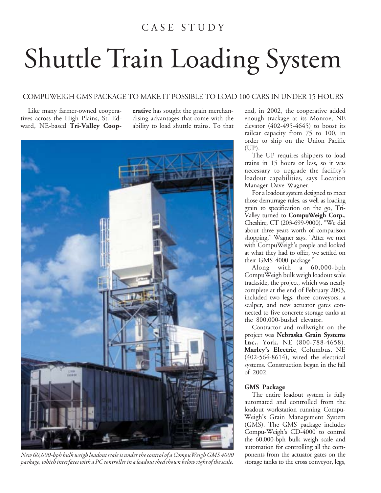## C A S E S T U D Y

## Shuttle Train Loading System

## COMPUWEIGH GMS PACKAGE TO MAKE IT POSSIBLE TO LOAD 100 CARS IN UNDER 15 HOURS

Like many farmer-owned cooperatives across the High Plains, St. Edward, NE-based **Tri-Valley Coop-** **erative** has sought the grain merchandising advantages that come with the ability to load shuttle trains. To that



*New 60,000-bph bulk weigh loadout scale is under the control of a CompuWeigh GMS 4000 package, which interfaces with a PC controller in a loadout shed shown below right of the scale.*

end, in 2002, the cooperative added enough trackage at its Monroe, NE elevator (402-495-4645) to boost its railcar capacity from 75 to 100, in order to ship on the Union Pacific (UP).

The UP requires shippers to load trains in 15 hours or less, so it was necessary to upgrade the facility's loadout capabilities, says Location Manager Dave Wagner.

For a loadout system designed to meet those demurrage rules, as well as loading grain to specification on the go, Tri-Valley turned to **CompuWeigh Corp.**, Cheshire, CT (203-699-9000). "We did about three years worth of comparison shopping," Wagner says. "After we met with CompuWeigh's people and looked at what they had to offer, we settled on their GMS 4000 package."

Along with a 60,000-bph CompuWeigh bulk weigh loadout scale trackside, the project, which was nearly complete at the end of February 2003, included two legs, three conveyors, a scalper, and new actuator gates connected to five concrete storage tanks at the 800,000-bushel elevator.

Contractor and millwright on the project was **Nebraska Grain Systems Inc.**, York, NE (800-788-4658). **Marley's Electric**, Columbus, NE (402-564-8614), wired the electrical systems. Construction began in the fall of 2002.

## **GMS Package**

The entire loadout system is fully automated and controlled from the loadout workstation running Compu-Weigh's Grain Management System (GMS). The GMS package includes Compu-Weigh's CD-4000 to control the 60,000-bph bulk weigh scale and automation for controlling all the components from the actuator gates on the storage tanks to the cross conveyor, legs,